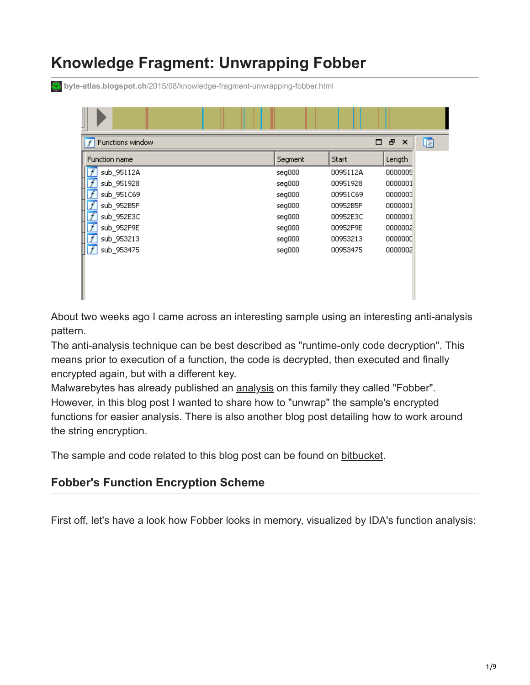# **Knowledge Fragment: Unwrapping Fobber**

**byte-atlas.blogspot.ch**[/2015/08/knowledge-fragment-unwrapping-fobber.html](http://byte-atlas.blogspot.ch/2015/08/knowledge-fragment-unwrapping-fobber.html)

| Functions window<br>$\overline{f}$ |         | □        | Ð<br>啯<br>$\boldsymbol{\mathsf{x}}$ |
|------------------------------------|---------|----------|-------------------------------------|
| <b>Function name</b>               | Segment | Start    | Length                              |
| sub_95112A                         | seg000  | 0095112A | 0000005                             |
| sub_951928                         | seg000  | 00951928 | 0000001                             |
| sub_951C69                         | seg000  | 00951C69 | 0000003                             |
| sub_952B5F                         | seg000  | 00952B5F | 0000001                             |
| sub_952E3C                         | seg000  | 00952E3C | 0000001                             |
| sub_952F9E                         | seg000  | 00952F9E | 0000002                             |
| sub_953213                         | seg000  | 00953213 | 0000000                             |
| $\overline{f}$<br>sub_953475       | seg000  | 00953475 | 0000002                             |
|                                    |         |          |                                     |

About two weeks ago I came across an interesting sample using an interesting anti-analysis pattern.

The anti-analysis technique can be best described as "runtime-only code decryption". This means prior to execution of a function, the code is decrypted, then executed and finally encrypted again, but with a different key.

Malwarebytes has already published an **analysis** on this family they called "Fobber". However, in this blog post I wanted to share how to "unwrap" the sample's encrypted functions for easier analysis. There is also another blog post detailing how to work around the string encryption.

The sample and code related to this blog post can be found on [bitbucket](https://bitbucket.org/byte_atlas/fobber_decryption).

#### **Fobber's Function Encryption Scheme**

First off, let's have a look how Fobber looks in memory, visualized by IDA's function analysis: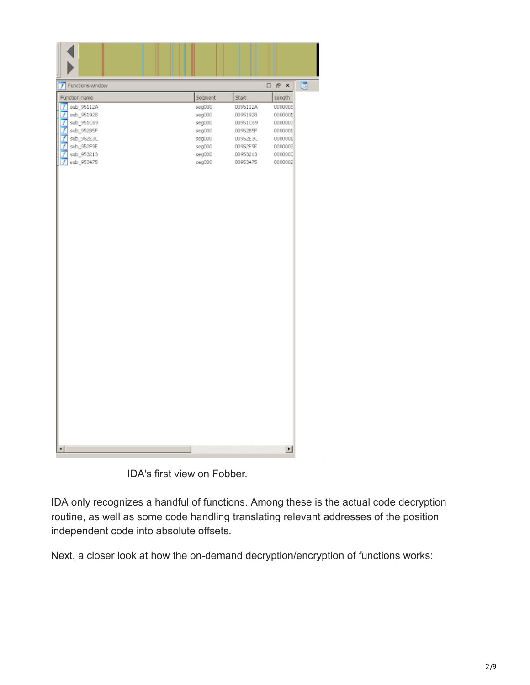| Functions window<br>ΙŦ       |         |          | $\Box$ $\bar{E}$ $\times$ | 晒 |
|------------------------------|---------|----------|---------------------------|---|
| Function name                | Segment | Start    | Length                    |   |
| $f$ sub_95112A               | seg000  | 0095112A | 0000005                   |   |
| sub_951928<br>f              | seg000  | 00951928 | 0000001                   |   |
| sub_951C69<br>f              | seq000  | 00951C69 | 0000003                   |   |
| sub_95285F<br>$\overline{f}$ | seg000  | 00952B5F | 0000001                   |   |
| $f$ sub_952E3C               | seg000  | 00952E3C | 0000001                   |   |
| $f$ sub_952F9E               | seg000  | 00952F9E | 0000002                   |   |
| sub_953213<br>f              | seg000  | 00953213 | 0000000                   |   |
| $f$ sub_953475               | seg000  | 00953475 | 0000002                   |   |
|                              |         |          |                           |   |
| ⊣                            |         |          | $\overline{\phantom{a}}$  |   |
|                              |         |          |                           |   |

IDA's first view on Fobber.

IDA only recognizes a handful of functions. Among these is the actual code decryption routine, as well as some code handling translating relevant addresses of the position independent code into absolute offsets.

Next, a closer look at how the on-demand decryption/encryption of functions works: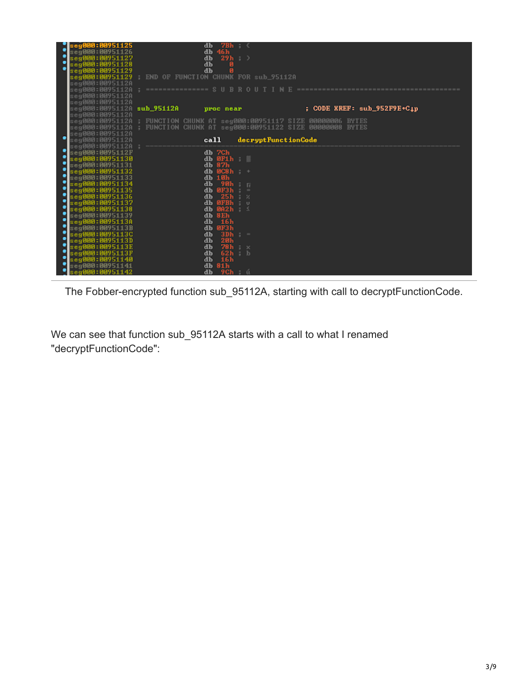|   | se g000 : 00951125                | db                                                                                                                                                 | $7Bh \div \zeta$    |                                           |  |
|---|-----------------------------------|----------------------------------------------------------------------------------------------------------------------------------------------------|---------------------|-------------------------------------------|--|
|   | seg000:00951126                   | db 46h                                                                                                                                             |                     |                                           |  |
|   | seg000:00951127                   | db                                                                                                                                                 | $29h$ ; >           |                                           |  |
| ٠ | seg000:00951128                   | db                                                                                                                                                 | ø                   |                                           |  |
|   | seg000:00951129                   | db                                                                                                                                                 |                     |                                           |  |
|   |                                   | seg000:00951129 FND OF FUNCTION CHUNK FOR sub_95112A                                                                                               |                     |                                           |  |
|   | :eg000:0095112A                   |                                                                                                                                                    |                     |                                           |  |
|   |                                   |                                                                                                                                                    |                     |                                           |  |
|   | :eg000:0095112A                   |                                                                                                                                                    |                     |                                           |  |
|   | :eg000:0095112A                   |                                                                                                                                                    |                     |                                           |  |
|   | :eg000:0095112A                   |                                                                                                                                                    |                     | $;$ CODE XREF: sub_952F9E+C <sub>1p</sub> |  |
|   |                                   |                                                                                                                                                    |                     |                                           |  |
|   |                                   | :eg000:0095112A ; FUNCTION CHUNK AT seg000:00951117 SIZE 00000006 BYTES<br>:eg000:0095112A ; FUNCTION CHUNK AT seg000:00951122 SIZE 00000008 BYTES |                     |                                           |  |
|   | :eg000:0095112A                   |                                                                                                                                                    |                     |                                           |  |
|   | :eg000:0095112A                   | cal1                                                                                                                                               | decryptFunctionCode |                                           |  |
|   | eg000:0095112A                    |                                                                                                                                                    |                     |                                           |  |
|   | seg000:0095112F                   | db 7Ch                                                                                                                                             |                     |                                           |  |
|   | seg000:00951130                   | db $\theta$ F1 $h$ ;                                                                                                                               |                     |                                           |  |
|   | seg000:00951131                   | db 87h                                                                                                                                             |                     |                                           |  |
|   | eg000:00951132                    | $db$ $b$ $c$ 8 $h$ $t$ $t$                                                                                                                         |                     |                                           |  |
| ٠ | seg <b>000:00</b> 951133          | db 10h                                                                                                                                             |                     |                                           |  |
|   | seg000:00951134                   | $db$ 90h; $\Box$                                                                                                                                   |                     |                                           |  |
| ٠ | seg000:00951135                   | dh ØF3h                                                                                                                                            |                     |                                           |  |
| ٠ | eg000:00951136                    | db                                                                                                                                                 | 25h : x             |                                           |  |
|   | seg000:00951137                   | db ØFBh; v                                                                                                                                         |                     |                                           |  |
|   | eg000:00951138<br>seg000:00951139 | db 002h $\pm$<br>db 8Eh                                                                                                                            |                     |                                           |  |
| ٠ | s <b>eg000:00</b> 95113A          | 16h<br>db                                                                                                                                          |                     |                                           |  |
|   | seg000:0095113B                   | db 0F3h                                                                                                                                            |                     |                                           |  |
|   | seg000:0095113C                   | db<br>3Dh                                                                                                                                          | $\mathbf{r} =$      |                                           |  |
| ٠ | seg000:0095113D                   | db<br>20h                                                                                                                                          |                     |                                           |  |
| ٠ | seg000:0095113E                   | db                                                                                                                                                 | $78h \div x$        |                                           |  |
|   | seg000:0095113F                   | db<br>62 <sub>h</sub>                                                                                                                              | : b                 |                                           |  |
| ٠ | seg000:00951140                   | db<br>16h                                                                                                                                          |                     |                                           |  |
|   | seg000:009511                     | db 81h                                                                                                                                             |                     |                                           |  |
|   | :eq000:00951142                   | db                                                                                                                                                 | <b>9Ch</b> : ú      |                                           |  |

The Fobber-encrypted function sub\_95112A, starting with call to decryptFunctionCode.

We can see that function sub\_95112A starts with a call to what I renamed "decryptFunctionCode":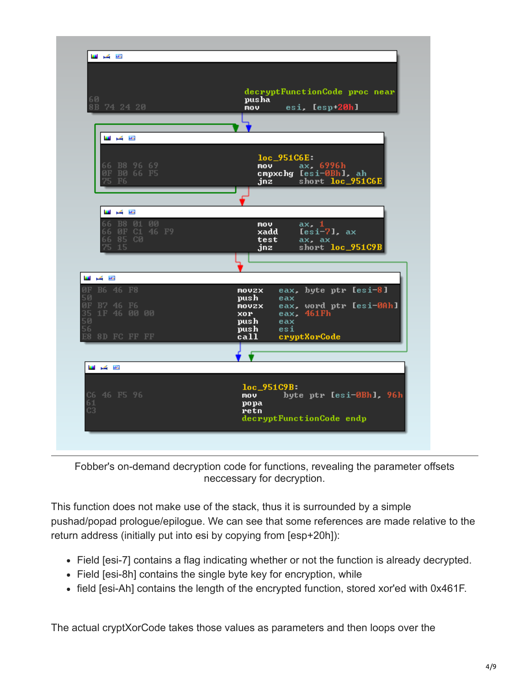| عوار کی است<br>60<br>8B 74 24 20                                                    | decryptFunctionCode proc near<br>pusha<br>esi, Iesp+20hl<br>nov.                                                                        |
|-------------------------------------------------------------------------------------|-----------------------------------------------------------------------------------------------------------------------------------------|
|                                                                                     |                                                                                                                                         |
| وتقل کی است<br>B8 96 69<br>66<br>BØ 66 F5<br>ØF<br>75<br>F <sub>6</sub>             | $loc$ 951 $C6E$<br>ax. 6996h<br><b>mov</b><br>cmpxchg [esi-0Bh], ah<br>short loc_951C6E<br>jnz                                          |
| 西国<br><b>B</b><br>B8 01<br>00<br>66<br>ØF C1 46 F9<br>66<br>85 CØ<br>66<br>75<br>15 | ax. 1<br>mov.<br>$Iesi-71$ , $ax$<br>xadd<br>test<br>ax. ax<br>short loc_951C9B<br>jnz                                                  |
|                                                                                     |                                                                                                                                         |
| وتقل کی است                                                                         |                                                                                                                                         |
| ØF B6 46 F8<br>50<br>0F<br>B7 46 F6<br>35<br>50<br>56<br>1F 46 00 00                | eax, byte ptr [esi-8]<br>movzx<br>push<br>eax<br>eax, word ptr [esi-0Ah]<br>movzx<br>eax. 461Fh<br>XOP .<br>push-<br>eax<br>push<br>esi |
| E8<br>8D FC FF FF                                                                   | call<br>cryptXorCode                                                                                                                    |
| 또 수 또                                                                               |                                                                                                                                         |
| C6 46 F5 96<br>61<br>C <sub>3</sub>                                                 | $loc_951C9B$<br>byte ptr [esi-0Bh], 96h<br>mov<br>popa<br>retn<br>decryptFunctionCode endp                                              |

Fobber's on-demand decryption code for functions, revealing the parameter offsets neccessary for decryption.

This function does not make use of the stack, thus it is surrounded by a simple pushad/popad prologue/epilogue. We can see that some references are made relative to the return address (initially put into esi by copying from [esp+20h]):

- Field [esi-7] contains a flag indicating whether or not the function is already decrypted.
- Field [esi-8h] contains the single byte key for encryption, while
- field [esi-Ah] contains the length of the encrypted function, stored xor'ed with 0x461F.

The actual cryptXorCode takes those values as parameters and then loops over the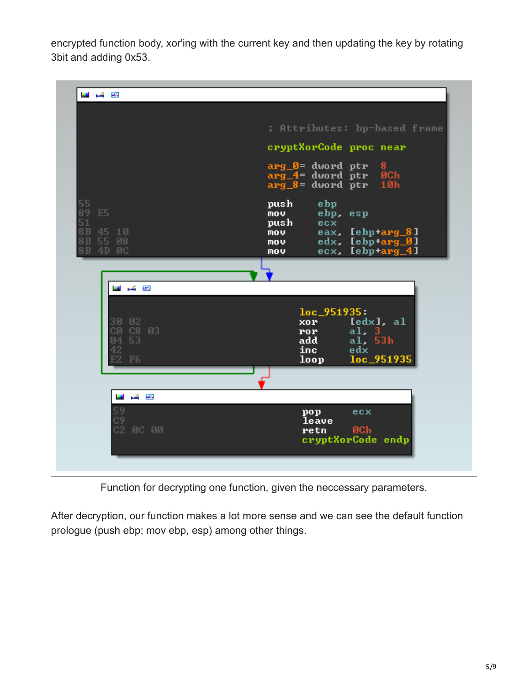encrypted function body, xor'ing with the current key and then updating the key by rotating 3bit and adding 0x53.

| تقاربهم الانا                                   |                                                                                                      |
|-------------------------------------------------|------------------------------------------------------------------------------------------------------|
|                                                 | ; Attributes: bp-based frame                                                                         |
|                                                 | cryptXorCode proc near                                                                               |
|                                                 | arg_0= dword ptr<br>$_{\rm 8ch}^{\rm 8}$<br>$arg_4 = dword$ ptr<br>$arg_8 =$ dword ptr $10h$         |
| 55<br>89<br>E <sub>5</sub>                      | push<br>ebp<br>ebp, esp<br>nov.                                                                      |
| 51<br>8B<br>45 10<br>8B<br>55 08<br>8B<br>4D 0C | ecx.<br>push<br>eax, [ebp+arg_8]<br>mov<br>edx, [ebp+arg_0]<br>mov<br>ecx, [ebp+arg_4]<br><b>MOV</b> |
|                                                 |                                                                                                      |
| تقاربكم اللبا                                   |                                                                                                      |
|                                                 | $loc_951935:$                                                                                        |
| 02<br>30<br>C8 03<br>СØ                         | [edx], al<br>xor.<br>al, 3<br>ror.                                                                   |
| 53<br>Й4<br>42                                  | al, 53h<br>add<br>inc.<br>edx                                                                        |
| F <sub>6</sub>                                  | loc_951935<br>loop                                                                                   |
|                                                 |                                                                                                      |
| دو کر س                                         |                                                                                                      |
| 59<br>C9<br>C2 0C 00                            | ecx<br>pop<br>leave<br><b>ØCh</b><br>retn<br>cryptXorCode endp                                       |
|                                                 |                                                                                                      |

Function for decrypting one function, given the neccessary parameters.

After decryption, our function makes a lot more sense and we can see the default function prologue (push ebp; mov ebp, esp) among other things.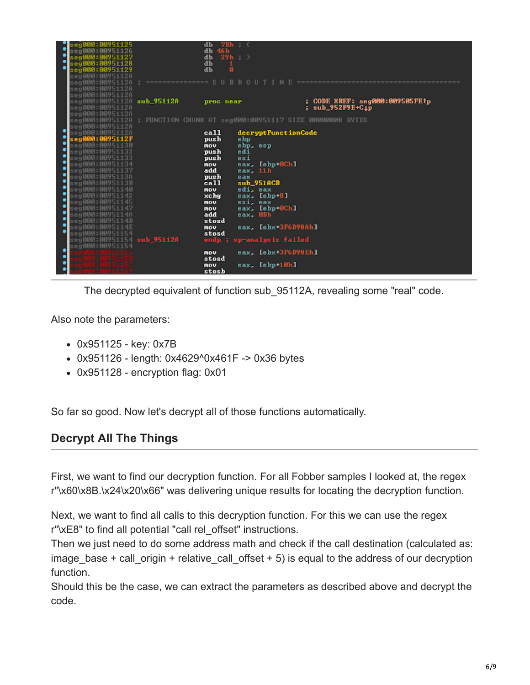|                      | eg000:00951125                   | $7Bh$ (<br>db |          |                           |                                                         |  |
|----------------------|----------------------------------|---------------|----------|---------------------------|---------------------------------------------------------|--|
|                      | :eg000:009511                    | 46 h<br>db    |          |                           |                                                         |  |
| ٠                    | :eg000:009511                    | 29h :<br>db   |          |                           |                                                         |  |
| ٠                    | se <b>q000:00</b> 9511           | db            |          |                           |                                                         |  |
|                      | :eg000:009511                    | db            |          |                           |                                                         |  |
|                      | :eq000:0095112A                  |               |          |                           |                                                         |  |
|                      | :eg000:0095112A                  |               |          |                           |                                                         |  |
|                      | :eg000:0095112A                  |               |          |                           |                                                         |  |
|                      | :eg000:0095112A                  |               |          |                           |                                                         |  |
|                      | eg000:0095112A sub_95112A        | proc near     |          |                           | ; CODE XREF: seg000:009505FE1p                          |  |
|                      | eg000:0095112A                   |               |          |                           | ; sub_952F9E+C <sub>1P</sub>                            |  |
|                      | :eg000:0095112A                  |               |          |                           |                                                         |  |
|                      | :eg000:0095112A                  |               |          |                           | ; FUNCTION CHUNK AT seg000:00951117 SIZE 00000008 BYTES |  |
|                      | eg000:0095112A                   |               |          |                           |                                                         |  |
|                      | eg000:0095112A                   | call          |          | decryptFunctionCode       |                                                         |  |
|                      | eg <b>000:00</b> 95112F          | push          | ebp      |                           |                                                         |  |
| г                    | :eg000:00951130                  | <b>NOV</b>    | ehp, esp |                           |                                                         |  |
|                      | :eg000:00951132                  | push          | edi      |                           |                                                         |  |
| ċ                    | :eg000:00951133                  | push          | esi      |                           |                                                         |  |
| $\ddot{\phantom{0}}$ | eg000:00951134                   | <b>NOV</b>    |          | eax. [ebp+0Ch]            |                                                         |  |
|                      | eg000:00951137:                  | add           | eax. 11h |                           |                                                         |  |
| ٠                    | :eg000:0095113A                  | push          | eax      |                           |                                                         |  |
| ٠                    | :eg000:0095113B                  | call          |          | sub_951ACB                |                                                         |  |
| ٠                    | :eg000:00951140                  | nov.          | edi. eax |                           |                                                         |  |
| ٠                    | :eg000:00951142                  | xchg          |          | eax, [ebp+8]              |                                                         |  |
| ٠                    | :eq000:00951145                  | <b>NOV</b>    | esi, eax |                           |                                                         |  |
| ٠                    | :eg000:00951147                  | nov           |          | eax, [ebp+0Ch]            |                                                         |  |
| ٠                    | :eg000:0095114A                  | add           | eax. 0Dh |                           |                                                         |  |
| ٠                    | eg000:0095114D                   | stosd         |          |                           |                                                         |  |
| ٠                    | :eg000:0095114E                  | nov           |          | eax, [ebx+3F6D98Ah]       |                                                         |  |
| ٠                    | :eq000:00951154                  | stosd         |          |                           |                                                         |  |
|                      | eg000:00951154 <b>sub 95112A</b> |               |          | endp ; sp-analysis failed |                                                         |  |
|                      | $:$ e $\alpha$ 000:00951154      |               |          |                           |                                                         |  |
| ٠                    |                                  | nov           |          | eax, [ebx+3F6D98Eh]       |                                                         |  |
| ٠                    |                                  | stosd         |          |                           |                                                         |  |
|                      |                                  | nov           |          | eax, Iebp 10h1            |                                                         |  |
|                      |                                  | stosh         |          |                           |                                                         |  |
|                      |                                  |               |          |                           |                                                         |  |

The decrypted equivalent of function sub\_95112A, revealing some "real" code.

Also note the parameters:

- 0x951125 key: 0x7B
- 0x951126 length: 0x4629^0x461F -> 0x36 bytes
- 0x951128 encryption flag: 0x01

So far so good. Now let's decrypt all of those functions automatically.

### **Decrypt All The Things**

First, we want to find our decryption function. For all Fobber samples I looked at, the regex r"\x60\x8B.\x24\x20\x66" was delivering unique results for locating the decryption function.

Next, we want to find all calls to this decryption function. For this we can use the regex r"\xE8" to find all potential "call rel\_offset" instructions.

Then we just need to do some address math and check if the call destination (calculated as: image base + call origin + relative call offset  $+ 5$ ) is equal to the address of our decryption function.

Should this be the case, we can extract the parameters as described above and decrypt the code.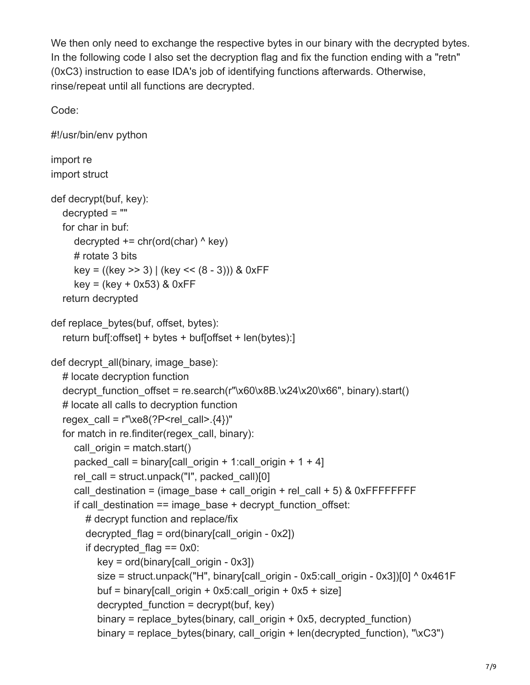We then only need to exchange the respective bytes in our binary with the decrypted bytes. In the following code I also set the decryption flag and fix the function ending with a "retn" (0xC3) instruction to ease IDA's job of identifying functions afterwards. Otherwise, rinse/repeat until all functions are decrypted.

Code:

```
#!/usr/bin/env python
import re
import struct
def decrypt(buf, key):
   decrypted = ""
   for char in buf:
     decrypted += chr(ord(char) \wedge key)
      # rotate 3 bits
      key = ((key >> 3) | (key << (8 - 3))) & 0xFF
     key = (key + 0x53) & 0xFF return decrypted
def replace bytes(buf, offset, bytes):
   return buf[:offset] + bytes + buf[offset + len(bytes):]
def decrypt_all(binary, image_base):
   # locate decryption function
  decrypt function offset = re.search(r"\x60\x8B.\x24\x20\x66", binary).start()
   # locate all calls to decryption function
  regex_call = r"xe8(?P<relcal">>rel|s. {4})"
  for match in re.finditer(regex_call, binary):
     call origin = match.start()packed call = binary[call_origin + 1:call_origin + 1 + 4]
     rel_call = struct.unpack("I", packed_call)[0]call destination = (image base + call origin + rel call + 5) & 0xFFFFFFFF
     if call destination == image base + decrypt function offset:
        # decrypt function and replace/fix
       decrypted flag = ord(binary[call origin - 0x2])if decrypted flag = = 0x0:
          key = ord(binary[call origin - 0x3])size = struct.unpack("H", binary[call_origin - 0x5:call_origin - 0x3])[0] ^ 0x461F
          buf = binary[call_origin + 0x5:call_origin + 0x5 + size]
          decrypted function = decrypt(buf, key)
          binary = replace bytes(binary, call origin + 0x5, decrypted function)
          binary = replace bytes(binary, call origin + len(decrypted function), "xC3")
```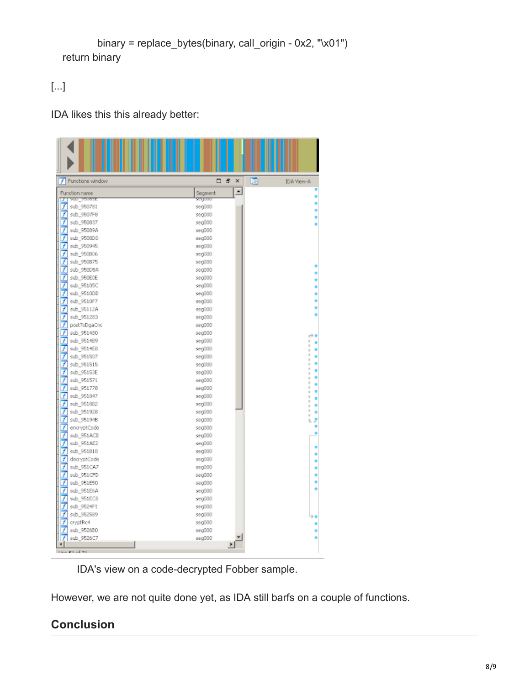```
 binary = replace_bytes(binary, call_origin - 0x2, "\x01")
 return binary
```
## [...]

#### IDA likes this this already better:

| Functions window<br>f           | □<br>ē<br>×                 | 晒<br>IDA Yiew-A |
|---------------------------------|-----------------------------|-----------------|
| Function name                   | $\blacktriangle$<br>Segment |                 |
| sup sepese<br>┳                 | segooo                      |                 |
| f<br>sub_950781                 | seg000                      |                 |
| f<br>sub_9507F8                 | seg000                      |                 |
| f<br>sub_950837                 | seg000                      |                 |
| 7<br>sub_95089A                 | seg000                      |                 |
| f<br>sub_9508D0                 | seg000                      |                 |
| f<br>sub_950945                 | seg000                      |                 |
| f<br>sub_950806                 | seg000                      |                 |
| f<br>sub 950875                 | seg000                      |                 |
| $\overline{f}$<br>sub_950DSA    | seg000                      |                 |
| 7<br>sub_950E0E                 | seg000                      |                 |
| f<br>sub_95105C                 | seg000                      |                 |
| f<br>sub_9510DB                 | seg000                      |                 |
| f<br>sub 9510F7<br>f            | seq000                      |                 |
| sub_95112A<br>f                 | seg000                      |                 |
| sub_951283<br>f<br>postToDgaCnc | seg000<br>seg000            |                 |
| J<br>sub_951480                 | seg000                      |                 |
| f<br>sub_9514B9                 | seg000                      | rb<br>ı         |
| F<br>sub 9514E8                 | seg000                      | ı               |
| f<br>sub_951507                 | seg000                      | ı               |
| f<br>sub_951515                 | seg000                      |                 |
| f<br>sub_95153E                 | seg000                      |                 |
| 1<br>sub_951571                 | seg000                      |                 |
| f<br>sub_951778                 | seg000                      |                 |
| f<br>sub_951847                 | seg000                      |                 |
| f<br>sub_9518B2                 | seg000                      |                 |
| f<br>sub 951928                 | seg000                      |                 |
| f<br>sub_95194B                 | seg000                      |                 |
| J<br>encryptCode                | seg000                      |                 |
| J<br>sub_951ACB                 | seg000                      |                 |
| f<br>sub_951AE2                 | seg000                      |                 |
| f<br>sub 951818                 | seq000                      |                 |
| f<br>decryptCode                | seg000                      |                 |
| f<br>sub_951CA7                 | seg000                      |                 |
| f<br>sub_951CFD                 | seg000                      |                 |
| J<br>sub_951E50                 | seg000                      |                 |
| f<br>sub_951E6A                 | seg000                      |                 |
| f<br>sub_951EC8                 | seg000                      |                 |
| f<br>sub_9524F1                 | seg000                      |                 |
| f<br>sub_952589                 | seg000                      |                 |
| f<br>cryptRc4                   | seg000                      |                 |
| sub_9526B0<br>1                 | seg000                      |                 |
| sub_9526C7<br>F                 | seg000                      |                 |
| $\blacksquare$                  | $\blacktriangleright$       |                 |
| Line Et of 75                   |                             |                 |

IDA's view on a code-decrypted Fobber sample.

However, we are not quite done yet, as IDA still barfs on a couple of functions.

## **Conclusion**